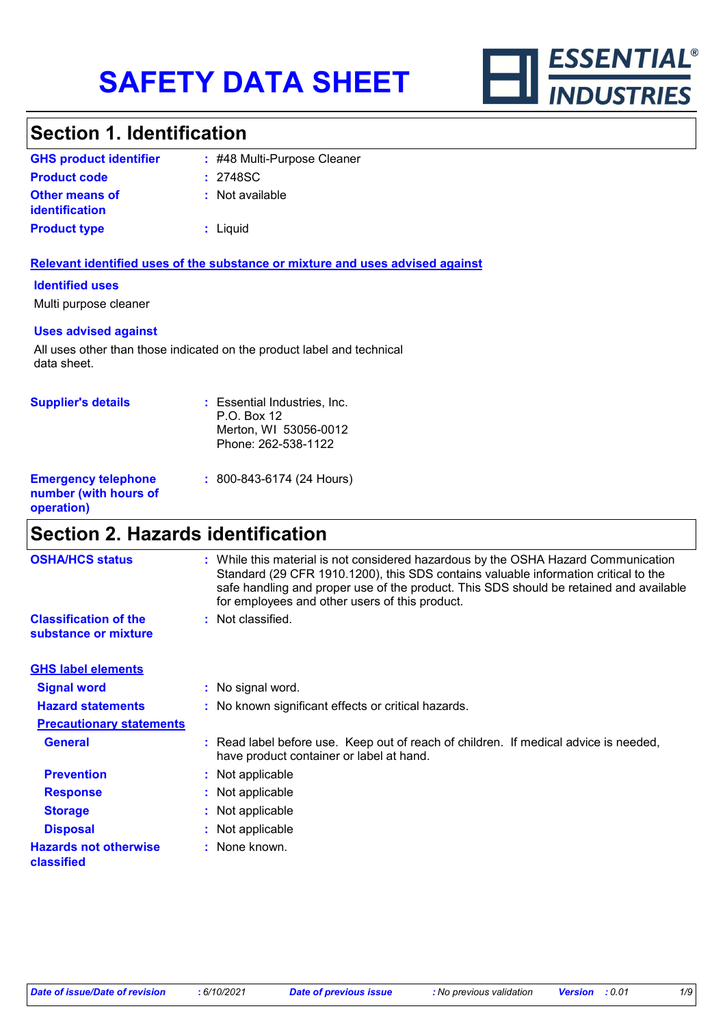

# **Section 1. Identification**

| <b>GHS product identifier</b>                  | : #48 Multi-Purpose Cleaner |
|------------------------------------------------|-----------------------------|
| <b>Product code</b>                            | : 2748SC                    |
| <b>Other means of</b><br><i>identification</i> | : Not available             |
| <b>Product type</b>                            | : Liquid                    |

#### **Relevant identified uses of the substance or mixture and uses advised against**

#### **Identified uses**

Multi purpose cleaner

#### **Uses advised against**

All uses other than those indicated on the product label and technical data sheet.

| <b>Supplier's details</b>                                         | : Essential Industries, Inc.<br>P.O. Box 12<br>Merton, WI 53056-0012<br>Phone: 262-538-1122 |
|-------------------------------------------------------------------|---------------------------------------------------------------------------------------------|
| <b>Emergency telephone</b><br>number (with hours of<br>operation) | $: 800 - 843 - 6174$ (24 Hours)                                                             |

# **Section 2. Hazards identification**

| <b>OSHA/HCS status</b>                               | : While this material is not considered hazardous by the OSHA Hazard Communication<br>Standard (29 CFR 1910.1200), this SDS contains valuable information critical to the<br>safe handling and proper use of the product. This SDS should be retained and available<br>for employees and other users of this product. |
|------------------------------------------------------|-----------------------------------------------------------------------------------------------------------------------------------------------------------------------------------------------------------------------------------------------------------------------------------------------------------------------|
| <b>Classification of the</b><br>substance or mixture | : Not classified.                                                                                                                                                                                                                                                                                                     |
| <b>GHS label elements</b>                            |                                                                                                                                                                                                                                                                                                                       |
| <b>Signal word</b>                                   | : No signal word.                                                                                                                                                                                                                                                                                                     |
| <b>Hazard statements</b>                             | : No known significant effects or critical hazards.                                                                                                                                                                                                                                                                   |
| <b>Precautionary statements</b>                      |                                                                                                                                                                                                                                                                                                                       |
| <b>General</b>                                       | : Read label before use. Keep out of reach of children. If medical advice is needed,<br>have product container or label at hand.                                                                                                                                                                                      |
| <b>Prevention</b>                                    | : Not applicable                                                                                                                                                                                                                                                                                                      |
| <b>Response</b>                                      | : Not applicable                                                                                                                                                                                                                                                                                                      |
| <b>Storage</b>                                       | : Not applicable                                                                                                                                                                                                                                                                                                      |
| <b>Disposal</b>                                      | : Not applicable                                                                                                                                                                                                                                                                                                      |
| <b>Hazards not otherwise</b><br>classified           | : None known.                                                                                                                                                                                                                                                                                                         |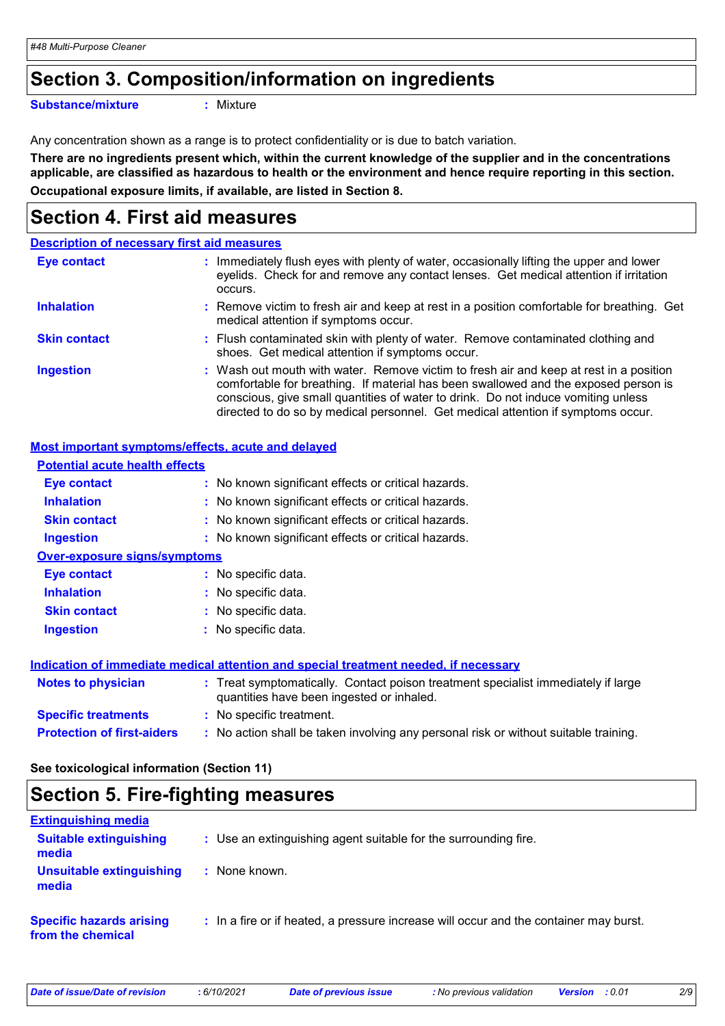### **Section 3. Composition/information on ingredients**

**Substance/mixture :**

```
: Mixture
```
Any concentration shown as a range is to protect confidentiality or is due to batch variation.

**There are no ingredients present which, within the current knowledge of the supplier and in the concentrations applicable, are classified as hazardous to health or the environment and hence require reporting in this section. Occupational exposure limits, if available, are listed in Section 8.**

### **Section 4. First aid measures**

|                     | <b>Description of necessary first aid measures</b>                                                                                                                                                                                                                                                                                                     |
|---------------------|--------------------------------------------------------------------------------------------------------------------------------------------------------------------------------------------------------------------------------------------------------------------------------------------------------------------------------------------------------|
| <b>Eye contact</b>  | : Immediately flush eyes with plenty of water, occasionally lifting the upper and lower<br>eyelids. Check for and remove any contact lenses. Get medical attention if irritation<br>occurs.                                                                                                                                                            |
| <b>Inhalation</b>   | : Remove victim to fresh air and keep at rest in a position comfortable for breathing. Get<br>medical attention if symptoms occur.                                                                                                                                                                                                                     |
| <b>Skin contact</b> | : Flush contaminated skin with plenty of water. Remove contaminated clothing and<br>shoes. Get medical attention if symptoms occur.                                                                                                                                                                                                                    |
| <b>Ingestion</b>    | : Wash out mouth with water. Remove victim to fresh air and keep at rest in a position<br>comfortable for breathing. If material has been swallowed and the exposed person is<br>conscious, give small quantities of water to drink. Do not induce vomiting unless<br>directed to do so by medical personnel. Get medical attention if symptoms occur. |

### **Most important symptoms/effects, acute and delayed**

| <b>Potential acute health effects</b> |                                                                                                                                |
|---------------------------------------|--------------------------------------------------------------------------------------------------------------------------------|
| Eye contact                           | : No known significant effects or critical hazards.                                                                            |
| <b>Inhalation</b>                     | : No known significant effects or critical hazards.                                                                            |
| <b>Skin contact</b>                   | : No known significant effects or critical hazards.                                                                            |
| <b>Ingestion</b>                      | : No known significant effects or critical hazards.                                                                            |
| <b>Over-exposure signs/symptoms</b>   |                                                                                                                                |
| Eye contact                           | : No specific data.                                                                                                            |
| <b>Inhalation</b>                     | : No specific data.                                                                                                            |
| <b>Skin contact</b>                   | $:$ No specific data.                                                                                                          |
| <b>Ingestion</b>                      | $:$ No specific data.                                                                                                          |
|                                       | Indication of immediate medical attention and special treatment needed, if necessary                                           |
| <b>Notes to physician</b>             | : Treat symptomatically. Contact poison treatment specialist immediately if large<br>quantities have been ingested or inhaled. |
| <b>Specific treatments</b>            | : No specific treatment.                                                                                                       |
| <b>Protection of first-aiders</b>     | : No action shall be taken involving any personal risk or without suitable training.                                           |

**See toxicological information (Section 11)**

### **Section 5. Fire-fighting measures**

| <b>Extinguishing media</b>                           |                                                                                       |
|------------------------------------------------------|---------------------------------------------------------------------------------------|
| <b>Suitable extinguishing</b><br>media               | : Use an extinguishing agent suitable for the surrounding fire.                       |
| Unsuitable extinguishing<br>media                    | : None known.                                                                         |
| <b>Specific hazards arising</b><br>from the chemical | : In a fire or if heated, a pressure increase will occur and the container may burst. |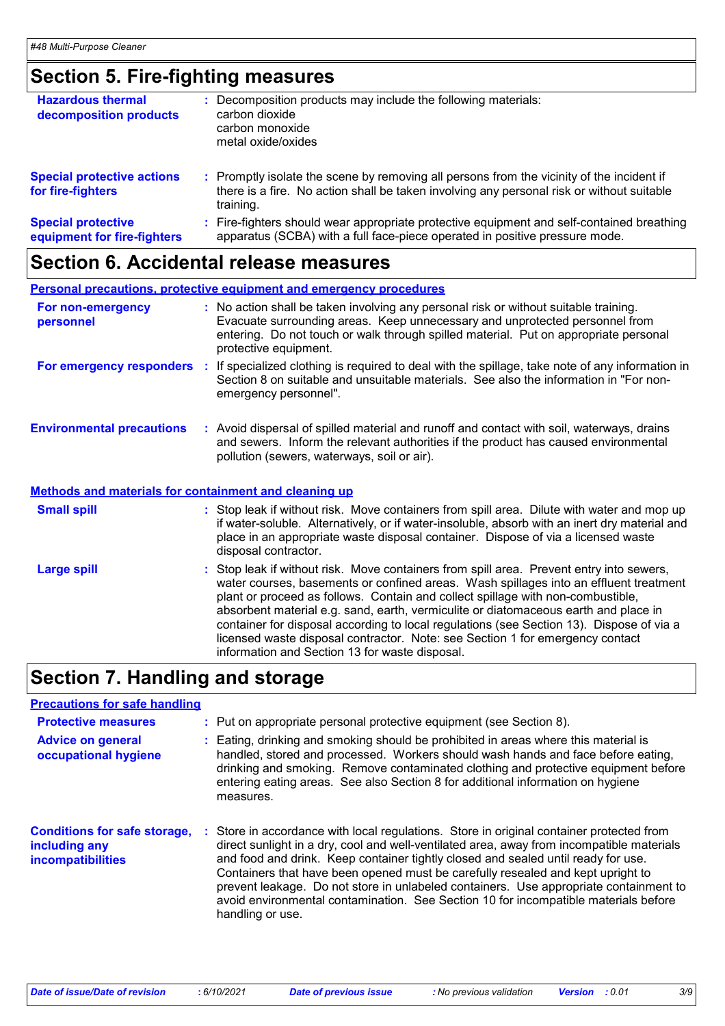# **Section 5. Fire-fighting measures**

| <b>Hazardous thermal</b><br>decomposition products       | Decomposition products may include the following materials:<br>carbon dioxide<br>carbon monoxide<br>metal oxide/oxides                                                                              |
|----------------------------------------------------------|-----------------------------------------------------------------------------------------------------------------------------------------------------------------------------------------------------|
| <b>Special protective actions</b><br>for fire-fighters   | : Promptly isolate the scene by removing all persons from the vicinity of the incident if<br>there is a fire. No action shall be taken involving any personal risk or without suitable<br>training. |
| <b>Special protective</b><br>equipment for fire-fighters | Fire-fighters should wear appropriate protective equipment and self-contained breathing<br>apparatus (SCBA) with a full face-piece operated in positive pressure mode.                              |

# **Section 6. Accidental release measures**

|                                                              | <b>Personal precautions, protective equipment and emergency procedures</b>                                                                                                                                                                                                                                                                                                                                                                                                                                                                                                                 |
|--------------------------------------------------------------|--------------------------------------------------------------------------------------------------------------------------------------------------------------------------------------------------------------------------------------------------------------------------------------------------------------------------------------------------------------------------------------------------------------------------------------------------------------------------------------------------------------------------------------------------------------------------------------------|
| For non-emergency<br>personnel                               | : No action shall be taken involving any personal risk or without suitable training.<br>Evacuate surrounding areas. Keep unnecessary and unprotected personnel from<br>entering. Do not touch or walk through spilled material. Put on appropriate personal<br>protective equipment.                                                                                                                                                                                                                                                                                                       |
|                                                              | For emergency responders : If specialized clothing is required to deal with the spillage, take note of any information in<br>Section 8 on suitable and unsuitable materials. See also the information in "For non-<br>emergency personnel".                                                                                                                                                                                                                                                                                                                                                |
| <b>Environmental precautions</b>                             | : Avoid dispersal of spilled material and runoff and contact with soil, waterways, drains<br>and sewers. Inform the relevant authorities if the product has caused environmental<br>pollution (sewers, waterways, soil or air).                                                                                                                                                                                                                                                                                                                                                            |
| <b>Methods and materials for containment and cleaning up</b> |                                                                                                                                                                                                                                                                                                                                                                                                                                                                                                                                                                                            |
| <b>Small spill</b>                                           | : Stop leak if without risk. Move containers from spill area. Dilute with water and mop up<br>if water-soluble. Alternatively, or if water-insoluble, absorb with an inert dry material and<br>place in an appropriate waste disposal container. Dispose of via a licensed waste<br>disposal contractor.                                                                                                                                                                                                                                                                                   |
| <b>Large spill</b>                                           | : Stop leak if without risk. Move containers from spill area. Prevent entry into sewers,<br>water courses, basements or confined areas. Wash spillages into an effluent treatment<br>plant or proceed as follows. Contain and collect spillage with non-combustible,<br>absorbent material e.g. sand, earth, vermiculite or diatomaceous earth and place in<br>container for disposal according to local regulations (see Section 13). Dispose of via a<br>licensed waste disposal contractor. Note: see Section 1 for emergency contact<br>information and Section 13 for waste disposal. |

# **Section 7. Handling and storage**

| <b>Precautions for safe handling</b>                                             |    |                                                                                                                                                                                                                                                                                                                                                                                                                                                                                                                                                                 |
|----------------------------------------------------------------------------------|----|-----------------------------------------------------------------------------------------------------------------------------------------------------------------------------------------------------------------------------------------------------------------------------------------------------------------------------------------------------------------------------------------------------------------------------------------------------------------------------------------------------------------------------------------------------------------|
| <b>Protective measures</b>                                                       |    | : Put on appropriate personal protective equipment (see Section 8).                                                                                                                                                                                                                                                                                                                                                                                                                                                                                             |
| <b>Advice on general</b><br>occupational hygiene                                 |    | : Eating, drinking and smoking should be prohibited in areas where this material is<br>handled, stored and processed. Workers should wash hands and face before eating,<br>drinking and smoking. Remove contaminated clothing and protective equipment before<br>entering eating areas. See also Section 8 for additional information on hygiene<br>measures.                                                                                                                                                                                                   |
| <b>Conditions for safe storage,</b><br>including any<br><b>incompatibilities</b> | п. | Store in accordance with local regulations. Store in original container protected from<br>direct sunlight in a dry, cool and well-ventilated area, away from incompatible materials<br>and food and drink. Keep container tightly closed and sealed until ready for use.<br>Containers that have been opened must be carefully resealed and kept upright to<br>prevent leakage. Do not store in unlabeled containers. Use appropriate containment to<br>avoid environmental contamination. See Section 10 for incompatible materials before<br>handling or use. |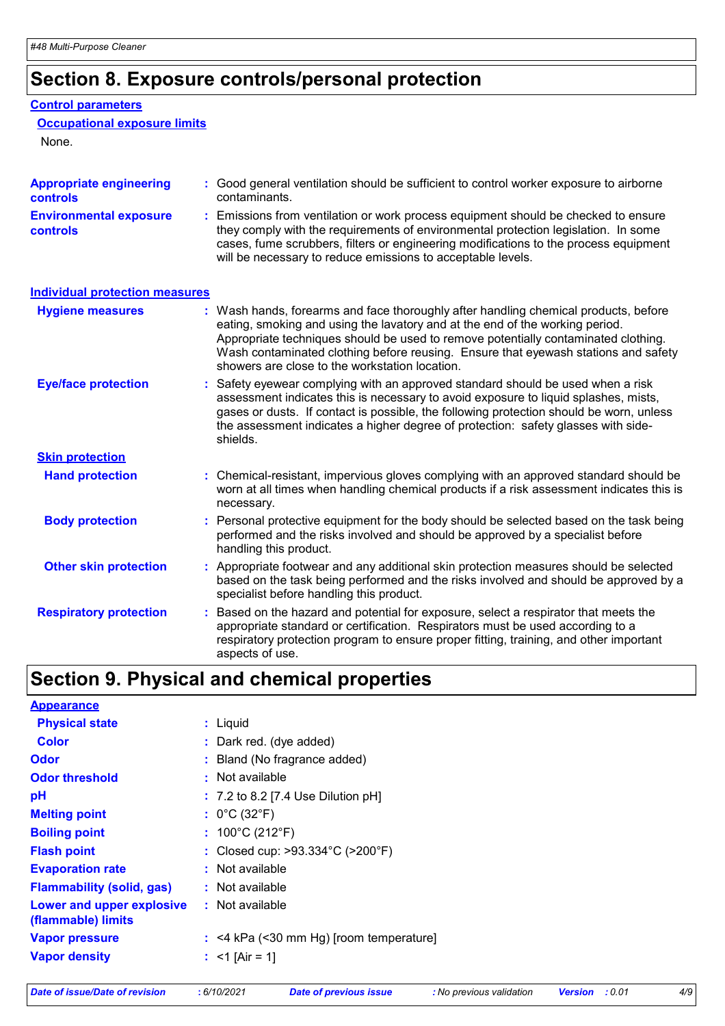# **Section 8. Exposure controls/personal protection**

#### **Control parameters**

#### **Occupational exposure limits**

None.

| <b>Appropriate engineering</b><br><b>controls</b> | : Good general ventilation should be sufficient to control worker exposure to airborne<br>contaminants.                                                                                                                                                                                                                                                                                           |
|---------------------------------------------------|---------------------------------------------------------------------------------------------------------------------------------------------------------------------------------------------------------------------------------------------------------------------------------------------------------------------------------------------------------------------------------------------------|
| <b>Environmental exposure</b><br><b>controls</b>  | : Emissions from ventilation or work process equipment should be checked to ensure<br>they comply with the requirements of environmental protection legislation. In some<br>cases, fume scrubbers, filters or engineering modifications to the process equipment<br>will be necessary to reduce emissions to acceptable levels.                                                                   |
| <b>Individual protection measures</b>             |                                                                                                                                                                                                                                                                                                                                                                                                   |
| <b>Hygiene measures</b>                           | : Wash hands, forearms and face thoroughly after handling chemical products, before<br>eating, smoking and using the lavatory and at the end of the working period.<br>Appropriate techniques should be used to remove potentially contaminated clothing.<br>Wash contaminated clothing before reusing. Ensure that eyewash stations and safety<br>showers are close to the workstation location. |
| <b>Eye/face protection</b>                        | : Safety eyewear complying with an approved standard should be used when a risk<br>assessment indicates this is necessary to avoid exposure to liquid splashes, mists,<br>gases or dusts. If contact is possible, the following protection should be worn, unless<br>the assessment indicates a higher degree of protection: safety glasses with side-<br>shields.                                |
| <b>Skin protection</b>                            |                                                                                                                                                                                                                                                                                                                                                                                                   |
| <b>Hand protection</b>                            | : Chemical-resistant, impervious gloves complying with an approved standard should be<br>worn at all times when handling chemical products if a risk assessment indicates this is<br>necessary.                                                                                                                                                                                                   |
| <b>Body protection</b>                            | : Personal protective equipment for the body should be selected based on the task being<br>performed and the risks involved and should be approved by a specialist before<br>handling this product.                                                                                                                                                                                               |
| <b>Other skin protection</b>                      | : Appropriate footwear and any additional skin protection measures should be selected<br>based on the task being performed and the risks involved and should be approved by a<br>specialist before handling this product.                                                                                                                                                                         |
| <b>Respiratory protection</b>                     | : Based on the hazard and potential for exposure, select a respirator that meets the<br>appropriate standard or certification. Respirators must be used according to a<br>respiratory protection program to ensure proper fitting, training, and other important<br>aspects of use.                                                                                                               |

# **Section 9. Physical and chemical properties**

| <b>Appearance</b>                               |                                           |
|-------------------------------------------------|-------------------------------------------|
| <b>Physical state</b>                           | : Liquid                                  |
| <b>Color</b>                                    | : Dark red. (dye added)                   |
| <b>Odor</b>                                     | : Bland (No fragrance added)              |
| <b>Odor threshold</b>                           | : Not available                           |
| рH                                              | $: 7.2$ to 8.2 [7.4 Use Dilution pH]      |
| <b>Melting point</b>                            | : $0^{\circ}$ C (32 $^{\circ}$ F)         |
| <b>Boiling point</b>                            | : $100^{\circ}$ C (212 $^{\circ}$ F)      |
| <b>Flash point</b>                              | : Closed cup: >93.334°C (>200°F)          |
| <b>Evaporation rate</b>                         | $:$ Not available                         |
| <b>Flammability (solid, gas)</b>                | $:$ Not available                         |
| Lower and upper explosive<br>(flammable) limits | : Not available                           |
| <b>Vapor pressure</b>                           | $:$ <4 kPa (<30 mm Hg) [room temperature] |
| <b>Vapor density</b>                            | : $<$ 1 [Air = 1]                         |
|                                                 |                                           |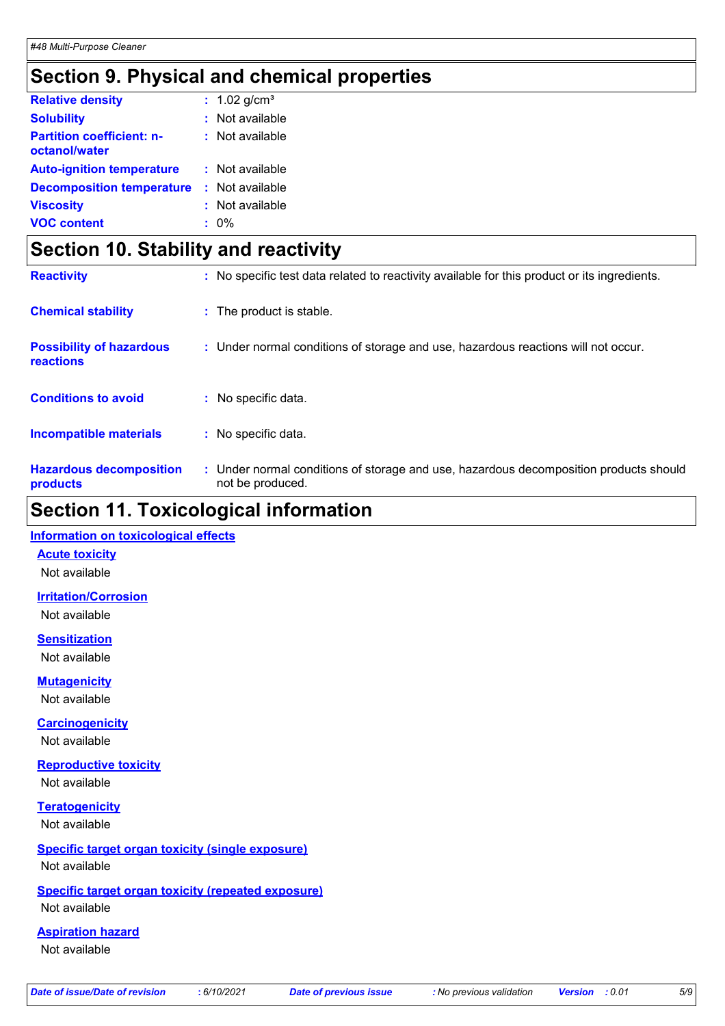### **Section 9. Physical and chemical properties**

| <b>Relative density</b>                           | : $1.02$ g/cm <sup>3</sup> |
|---------------------------------------------------|----------------------------|
| <b>Solubility</b>                                 | $:$ Not available          |
| <b>Partition coefficient: n-</b><br>octanol/water | $:$ Not available          |
| <b>Auto-ignition temperature</b>                  | : Not available            |
| <b>Decomposition temperature</b>                  | : Not available            |
| <b>Viscosity</b>                                  | : Not available            |
| <b>VOC content</b>                                | $: 0\%$                    |

### **Section 10. Stability and reactivity**

| <b>Reactivity</b>                            | : No specific test data related to reactivity available for this product or its ingredients.              |  |
|----------------------------------------------|-----------------------------------------------------------------------------------------------------------|--|
| <b>Chemical stability</b>                    | : The product is stable.                                                                                  |  |
| <b>Possibility of hazardous</b><br>reactions | : Under normal conditions of storage and use, hazardous reactions will not occur.                         |  |
| <b>Conditions to avoid</b>                   | : No specific data.                                                                                       |  |
| <b>Incompatible materials</b>                | : No specific data.                                                                                       |  |
| <b>Hazardous decomposition</b><br>products   | : Under normal conditions of storage and use, hazardous decomposition products should<br>not be produced. |  |

### **Section 11. Toxicological information**

#### **Information on toxicological effects**

**Acute toxicity**

Not available

**Irritation/Corrosion**

Not available

**Sensitization** Not available

**Mutagenicity**

Not available

**Carcinogenicity**

Not available

**Reproductive toxicity** Not available

**Teratogenicity** Not available

#### **Specific target organ toxicity (single exposure)** Not available

### **Specific target organ toxicity (repeated exposure)**

Not available

#### **Aspiration hazard**

Not available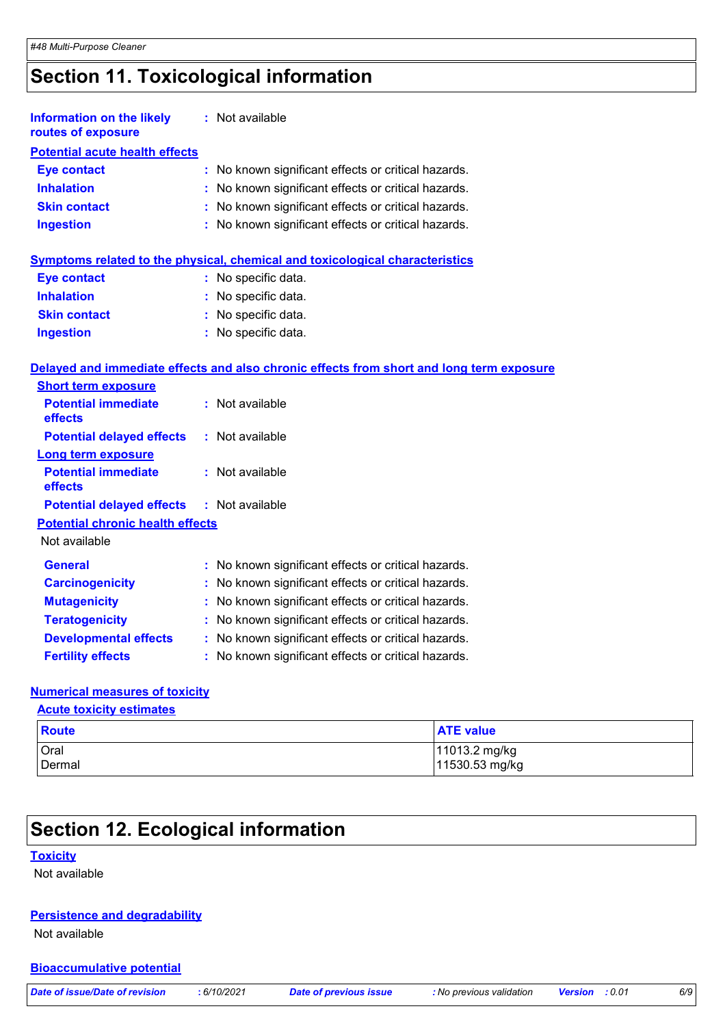# **Section 11. Toxicological information**

| <b>Information on the likely</b><br>routes of exposure | : Not available                                                                          |
|--------------------------------------------------------|------------------------------------------------------------------------------------------|
| <b>Potential acute health effects</b>                  |                                                                                          |
| <b>Eye contact</b>                                     | No known significant effects or critical hazards.<br>÷.                                  |
| <b>Inhalation</b>                                      | : No known significant effects or critical hazards.                                      |
| <b>Skin contact</b>                                    | : No known significant effects or critical hazards.                                      |
| <b>Ingestion</b>                                       | : No known significant effects or critical hazards.                                      |
|                                                        | <b>Symptoms related to the physical, chemical and toxicological characteristics</b>      |
| <b>Eye contact</b>                                     | : No specific data.                                                                      |
| <b>Inhalation</b>                                      | No specific data.                                                                        |
| <b>Skin contact</b>                                    | : No specific data.                                                                      |
| <b>Ingestion</b>                                       | : No specific data.                                                                      |
|                                                        | Delayed and immediate effects and also chronic effects from short and long term exposure |
| <b>Short term exposure</b>                             |                                                                                          |
| <b>Potential immediate</b><br>effects                  | : Not available                                                                          |
| <b>Potential delayed effects</b>                       | : Not available                                                                          |
| <b>Long term exposure</b>                              |                                                                                          |
| <b>Potential immediate</b><br>effects                  | : Not available                                                                          |
| <b>Potential delayed effects</b>                       | : Not available                                                                          |
| <b>Potential chronic health effects</b>                |                                                                                          |
| Not available                                          |                                                                                          |
| <b>General</b>                                         | No known significant effects or critical hazards.                                        |
| <b>Carcinogenicity</b>                                 | No known significant effects or critical hazards.                                        |
| <b>Mutagenicity</b>                                    | No known significant effects or critical hazards.                                        |
| <b>Teratogenicity</b>                                  | No known significant effects or critical hazards.                                        |
| <b>Developmental effects</b>                           | No known significant effects or critical hazards.                                        |
| <b>Fertility effects</b>                               | No known significant effects or critical hazards.                                        |

### **Numerical measures of toxicity**

**Acute toxicity estimates**

| Route  | <b>ATE value</b> |
|--------|------------------|
| Oral   | 11013.2 mg/kg    |
| Dermal | 11530.53 mg/kg   |

# **Section 12. Ecological information**

#### **Toxicity**

Not available

#### **Persistence and degradability**

Not available

#### **Bioaccumulative potential**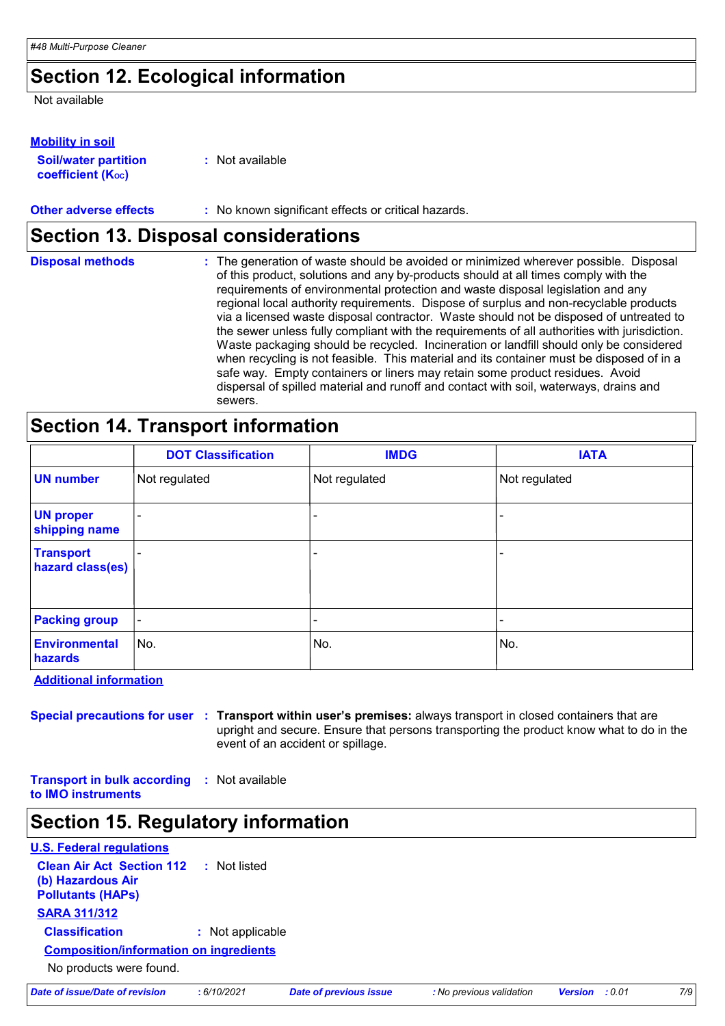### **Section 12. Ecological information**

Not available

#### **Mobility in soil**

| <b>Soil/water partition</b>    | : Not available |
|--------------------------------|-----------------|
| coefficient (K <sub>oc</sub> ) |                 |

**Other adverse effects** : No known significant effects or critical hazards.

### **Section 13. Disposal considerations**

| <b>Disposal methods</b> | : The generation of waste should be avoided or minimized wherever possible. Disposal<br>of this product, solutions and any by-products should at all times comply with the<br>requirements of environmental protection and waste disposal legislation and any<br>regional local authority requirements. Dispose of surplus and non-recyclable products<br>via a licensed waste disposal contractor. Waste should not be disposed of untreated to<br>the sewer unless fully compliant with the requirements of all authorities with jurisdiction.<br>Waste packaging should be recycled. Incineration or landfill should only be considered<br>when recycling is not feasible. This material and its container must be disposed of in a<br>safe way. Empty containers or liners may retain some product residues. Avoid<br>dispersal of spilled material and runoff and contact with soil, waterways, drains and |
|-------------------------|-----------------------------------------------------------------------------------------------------------------------------------------------------------------------------------------------------------------------------------------------------------------------------------------------------------------------------------------------------------------------------------------------------------------------------------------------------------------------------------------------------------------------------------------------------------------------------------------------------------------------------------------------------------------------------------------------------------------------------------------------------------------------------------------------------------------------------------------------------------------------------------------------------------------|
|                         | sewers.                                                                                                                                                                                                                                                                                                                                                                                                                                                                                                                                                                                                                                                                                                                                                                                                                                                                                                         |

## **Section 14. Transport information**

|                                      | <b>DOT Classification</b> | <b>IMDG</b>              | <b>IATA</b>   |
|--------------------------------------|---------------------------|--------------------------|---------------|
| <b>UN number</b>                     | Not regulated             | Not regulated            | Not regulated |
| <b>UN proper</b><br>shipping name    |                           |                          |               |
| <b>Transport</b><br>hazard class(es) |                           | $\overline{\phantom{0}}$ |               |
| <b>Packing group</b>                 | $\blacksquare$            |                          |               |
| <b>Environmental</b><br>hazards      | No.                       | No.                      | No.           |

**Additional information**

**Special precautions for user Transport within user's premises:** always transport in closed containers that are **:** upright and secure. Ensure that persons transporting the product know what to do in the event of an accident or spillage.

**Transport in bulk according :** Not available **to IMO instruments**

### **Section 15. Regulatory information**

| <b>U.S. Federal regulations</b>                                                   |                  |  |  |  |
|-----------------------------------------------------------------------------------|------------------|--|--|--|
| <b>Clean Air Act Section 112</b><br>(b) Hazardous Air<br><b>Pollutants (HAPs)</b> | : Not listed     |  |  |  |
| <b>SARA 311/312</b>                                                               |                  |  |  |  |
| <b>Classification</b>                                                             | : Not applicable |  |  |  |
| <b>Composition/information on ingredients</b>                                     |                  |  |  |  |
| No products were found.                                                           |                  |  |  |  |
|                                                                                   |                  |  |  |  |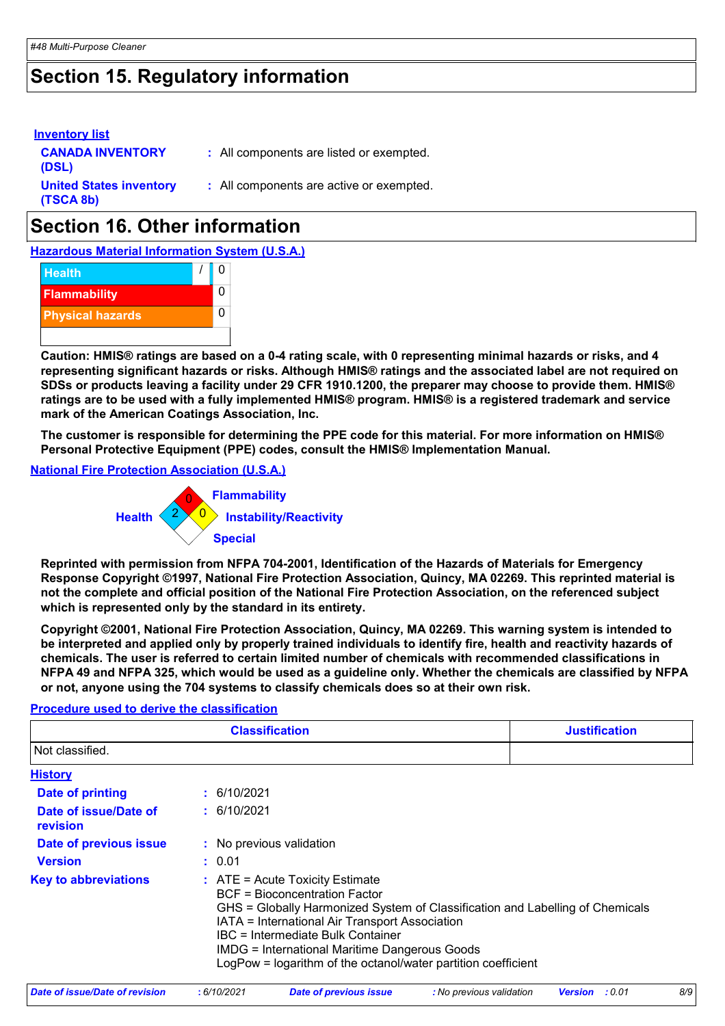### **Section 15. Regulatory information**

| <b>Inventory list</b><br><b>CANADA INVENTORY</b><br>(DSL) | : All components are listed or exempted. |
|-----------------------------------------------------------|------------------------------------------|
| <b>United States inventory</b><br>(TSCA 8b)               | : All components are active or exempted. |

## **Section 16. Other information**

**Hazardous Material Information System (U.S.A.)**



**Caution: HMIS® ratings are based on a 0-4 rating scale, with 0 representing minimal hazards or risks, and 4 representing significant hazards or risks. Although HMIS® ratings and the associated label are not required on SDSs or products leaving a facility under 29 CFR 1910.1200, the preparer may choose to provide them. HMIS® ratings are to be used with a fully implemented HMIS® program. HMIS® is a registered trademark and service mark of the American Coatings Association, Inc.**

**The customer is responsible for determining the PPE code for this material. For more information on HMIS® Personal Protective Equipment (PPE) codes, consult the HMIS® Implementation Manual.**

**National Fire Protection Association (U.S.A.)**



**Reprinted with permission from NFPA 704-2001, Identification of the Hazards of Materials for Emergency Response Copyright ©1997, National Fire Protection Association, Quincy, MA 02269. This reprinted material is not the complete and official position of the National Fire Protection Association, on the referenced subject which is represented only by the standard in its entirety.**

**Copyright ©2001, National Fire Protection Association, Quincy, MA 02269. This warning system is intended to be interpreted and applied only by properly trained individuals to identify fire, health and reactivity hazards of chemicals. The user is referred to certain limited number of chemicals with recommended classifications in NFPA 49 and NFPA 325, which would be used as a guideline only. Whether the chemicals are classified by NFPA or not, anyone using the 704 systems to classify chemicals does so at their own risk.**

#### **Procedure used to derive the classification**

| <b>Classification</b>             |                                                                                                                                                                                                                            | <b>Justification</b>                                                                                                                           |  |
|-----------------------------------|----------------------------------------------------------------------------------------------------------------------------------------------------------------------------------------------------------------------------|------------------------------------------------------------------------------------------------------------------------------------------------|--|
| Not classified.                   |                                                                                                                                                                                                                            |                                                                                                                                                |  |
| <b>History</b>                    |                                                                                                                                                                                                                            |                                                                                                                                                |  |
| Date of printing                  | : 6/10/2021                                                                                                                                                                                                                |                                                                                                                                                |  |
| Date of issue/Date of<br>revision | : 6/10/2021                                                                                                                                                                                                                |                                                                                                                                                |  |
| Date of previous issue            | : No previous validation                                                                                                                                                                                                   |                                                                                                                                                |  |
| <b>Version</b>                    | : 0.01                                                                                                                                                                                                                     |                                                                                                                                                |  |
| <b>Key to abbreviations</b>       | $\therefore$ ATE = Acute Toxicity Estimate<br>BCF = Bioconcentration Factor<br>IATA = International Air Transport Association<br>IBC = Intermediate Bulk Container<br><b>IMDG = International Maritime Dangerous Goods</b> | GHS = Globally Harmonized System of Classification and Labelling of Chemicals<br>LogPow = logarithm of the octanol/water partition coefficient |  |